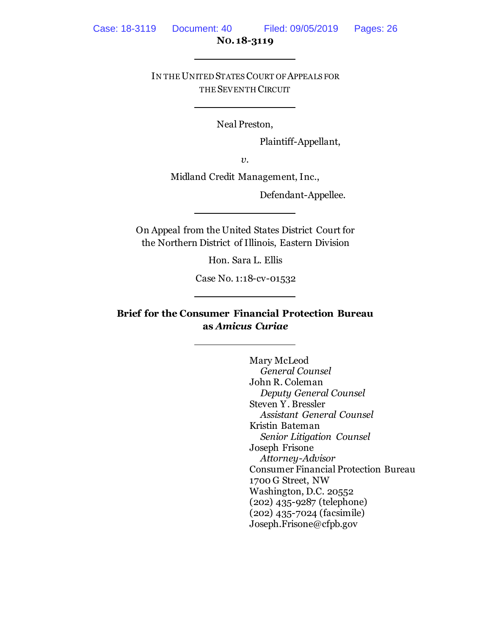IN THE UNITED STATES COURT OF APPEALS FOR THE SEVENTH CIRCUIT

Neal Preston,

Plaintiff-Appellant,

*v*.

Midland Credit Management, Inc.,

Defendant-Appellee.

On Appeal from the United States District Court for the Northern District of Illinois, Eastern Division

Hon. Sara L. Ellis

Case No. 1:18-cv-01532

**Brief for the Consumer Financial Protection Bureau as** *Amicus Curiae*

> Mary McLeod *General Counsel* John R. Coleman *Deputy General Counsel* Steven Y. Bressler *Assistant General Counsel* Kristin Bateman *Senior Litigation Counsel* Joseph Frisone *Attorney-Advisor* Consumer Financial Protection Bureau 1700 G Street, NW Washington, D.C. 20552 (202) 435-9287 (telephone) (202) 435-7024 (facsimile) Joseph.Frisone@cfpb.gov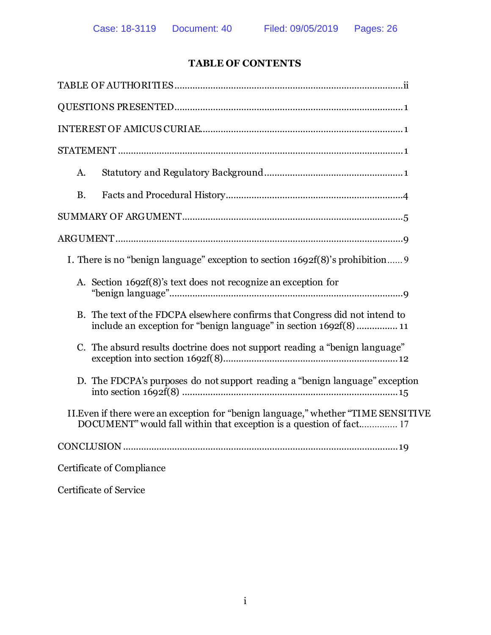# **TABLE OF CONTENTS**

| A.                                                                                                                                                         |
|------------------------------------------------------------------------------------------------------------------------------------------------------------|
| <b>B.</b>                                                                                                                                                  |
|                                                                                                                                                            |
|                                                                                                                                                            |
| I. There is no "benign language" exception to section 1692f(8)'s prohibition                                                                               |
| A. Section 1692f(8)'s text does not recognize an exception for                                                                                             |
| B. The text of the FDCPA elsewhere confirms that Congress did not intend to<br>include an exception for "benign language" in section 1692f(8)  11          |
| C. The absurd results doctrine does not support reading a "benign language"                                                                                |
| D. The FDCPA's purposes do not support reading a "benign language" exception                                                                               |
| II. Even if there were an exception for "benign language," whether "TIME SENSITIVE"<br>DOCUMENT" would fall within that exception is a question of fact 17 |
|                                                                                                                                                            |
| Certificate of Compliance                                                                                                                                  |

Certificate of Service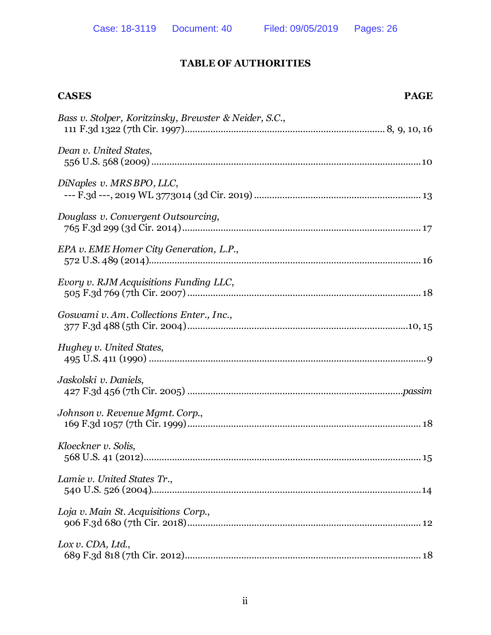## **TABLE OF AUTHORITIES**

<span id="page-2-0"></span>

| <b>CASES</b>                                           | <b>PAGE</b> |
|--------------------------------------------------------|-------------|
| Bass v. Stolper, Koritzinsky, Brewster & Neider, S.C., |             |
| Dean v. United States,                                 |             |
| DiNaples v. MRS BPO, LLC,                              |             |
| Douglass v. Convergent Outsourcing,                    |             |
| EPA v. EME Homer City Generation, L.P.,                |             |
| Evory v. RJM Acquisitions Funding LLC,                 |             |
| Goswami v. Am. Collections Enter., Inc.,               |             |
| Hughey v. United States,                               |             |
| Jaskolski v. Daniels,                                  |             |
| Johnson v. Revenue Mgmt. Corp.,                        |             |
| Kloeckner v. Solis,                                    |             |
| Lamie v. United States Tr.,                            |             |
| Loja v. Main St. Acquisitions Corp.,                   |             |
| Lox v. CDA, Ltd.,                                      |             |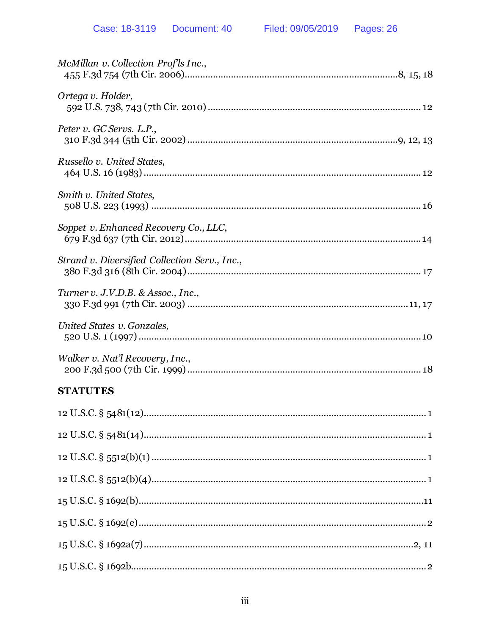| McMillan v. Collection Prof'ls Inc.,          |
|-----------------------------------------------|
| Ortega v. Holder,                             |
| Peter v. GC Servs. L.P.,                      |
| Russello v. United States,                    |
| Smith v. United States,                       |
| Soppet v. Enhanced Recovery Co., LLC,         |
| Strand v. Diversified Collection Serv., Inc., |
| Turner v. J.V.D.B. & Assoc., Inc.,            |
| United States v. Gonzales,                    |
| Walker v. Nat'l Recovery, Inc.,               |
| <b>STATUTES</b>                               |
|                                               |
|                                               |
| 10 II $C C$ S $F = 10^{h}(1)$                 |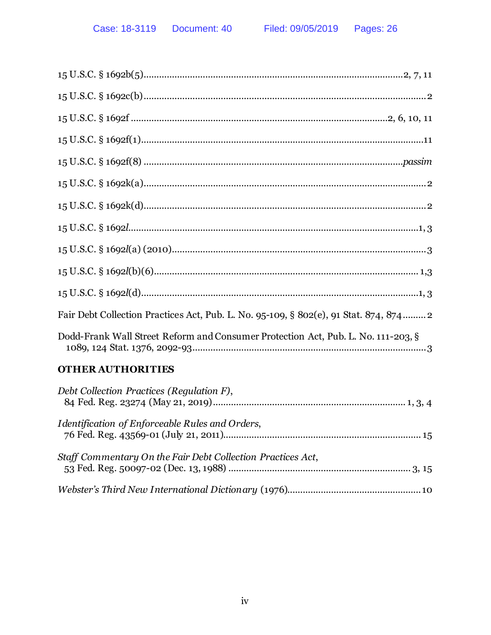| Fair Debt Collection Practices Act, Pub. L. No. 95-109, § 802(e), 91 Stat. 874, 874 2 |
|---------------------------------------------------------------------------------------|
| Dodd-Frank Wall Street Reform and Consumer Protection Act, Pub. L. No. 111-203, §     |
| <b>OTHER AUTHORITIES</b>                                                              |
| Debt Collection Practices (Regulation F),                                             |
| Identification of Enforceable Rules and Orders,                                       |
| Staff Commentary On the Fair Debt Collection Practices Act,                           |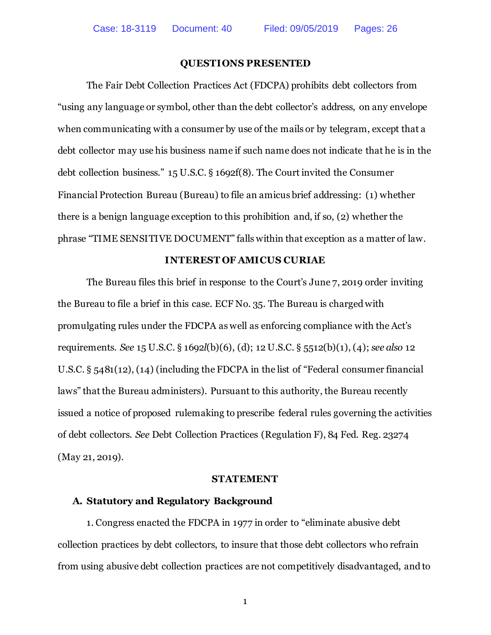### **QUESTIONS PRESENTED**

<span id="page-5-0"></span>The Fair Debt Collection Practices Act (FDCPA) prohibits debt collectors from "using any language or symbol, other than the debt collector's address, on any envelope when communicating with a consumer by use of the mails or by telegram, except that a debt collector may use his business name if such name does not indicate that he is in the debt collection business." 15 U.S.C. § 1692f(8). The Court invited the Consumer Financial Protection Bureau (Bureau) to file an amicus brief addressing: (1) whether there is a benign language exception to this prohibition and, if so, (2) whether the phrase "TIME SENSITIVE DOCUMENT" falls within that exception as a matter of law.

### **INTEREST OF AMICUS CURIAE**

<span id="page-5-1"></span>The Bureau files this brief in response to the Court's June 7, 2019 order inviting the Bureau to file a brief in this case. ECF No. 35. The Bureau is charged with promulgating rules under the FDCPA as well as enforcing compliance with the Act's requirements. *See* 15 U.S.C. § 1692*l*(b)(6), (d); 12 U.S.C. § 5512(b)(1), (4); *see also* 12 U.S.C. § 5481(12), (14) (including the FDCPA in the list of "Federal consumer financial laws" that the Bureau administers). Pursuant to this authority, the Bureau recently issued a notice of proposed rulemaking to prescribe federal rules governing the activities of debt collectors. *See* Debt Collection Practices (Regulation F), 84 Fed. Reg. 23274 (May 21, 2019).

### **STATEMENT**

### <span id="page-5-3"></span><span id="page-5-2"></span>**A. Statutory and Regulatory Background**

1. Congress enacted the FDCPA in 1977 in order to "eliminate abusive debt collection practices by debt collectors, to insure that those debt collectors who refrain from using abusive debt collection practices are not competitively disadvantaged, and to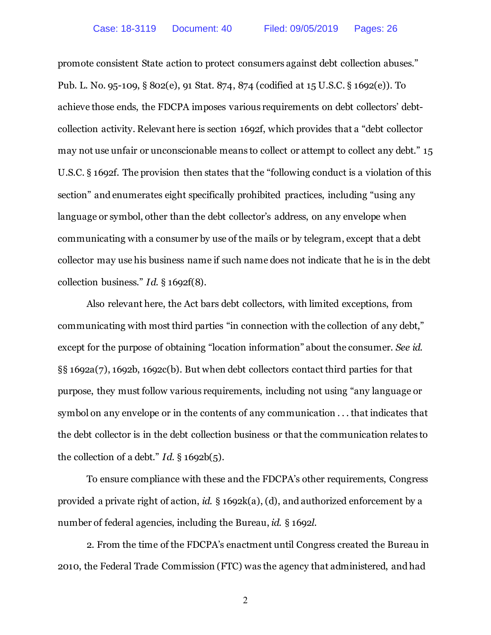promote consistent State action to protect consumers against debt collection abuses." Pub. L. No. 95-109, § 802(e), 91 Stat. 874, 874 (codified at 15 U.S.C. § 1692(e)). To achieve those ends, the FDCPA imposes various requirements on debt collectors' debtcollection activity. Relevant here is section 1692f, which provides that a "debt collector may not use unfair or unconscionable means to collect or attempt to collect any debt." 15 U.S.C. § 1692f. The provision then states that the "following conduct is a violation of this section" and enumerates eight specifically prohibited practices, including "using any language or symbol, other than the debt collector's address, on any envelope when communicating with a consumer by use of the mails or by telegram, except that a debt collector may use his business name if such name does not indicate that he is in the debt collection business." *Id*. § 1692f(8).

Also relevant here, the Act bars debt collectors, with limited exceptions, from communicating with most third parties "in connection with the collection of any debt," except for the purpose of obtaining "location information" about the consumer. *See id.* §§ 1692a(7), 1692b, 1692c(b). But when debt collectors contact third parties for that purpose, they must follow various requirements, including not using "any language or symbol on any envelope or in the contents of any communication . . . that indicates that the debt collector is in the debt collection business or that the communication relates to the collection of a debt." *Id*. § 1692b(5).

To ensure compliance with these and the FDCPA's other requirements, Congress provided a private right of action, *id.* § 1692k(a), (d), and authorized enforcement by a number of federal agencies, including the Bureau, *id.* § 1692*l*.

2. From the time of the FDCPA's enactment until Congress created the Bureau in 2010, the Federal Trade Commission (FTC) was the agency that administered, and had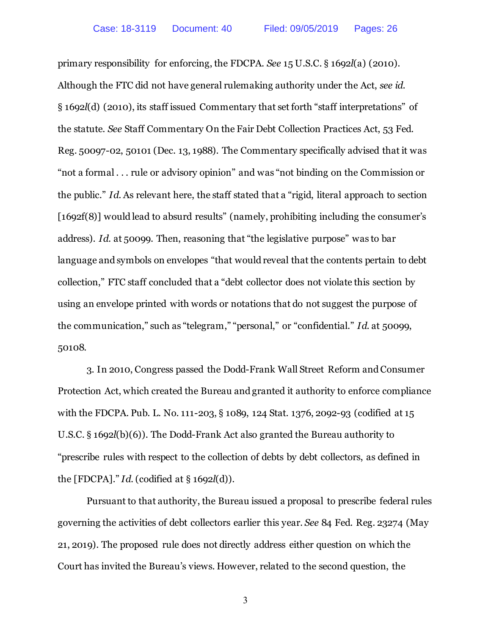primary responsibility for enforcing, the FDCPA. *See* 15 U.S.C. § 1692*l*(a) (2010). Although the FTC did not have general rulemaking authority under the Act, *see id*. § 1692*l*(d) (2010), its staff issued Commentary that set forth "staff interpretations" of the statute. *See* Staff Commentary On the Fair Debt Collection Practices Act, 53 Fed. Reg. 50097-02, 50101 (Dec. 13, 1988). The Commentary specifically advised that it was "not a formal . . . rule or advisory opinion" and was "not binding on the Commission or the public." *Id*. As relevant here, the staff stated that a "rigid, literal approach to section [1692f(8)] would lead to absurd results" (namely, prohibiting including the consumer's address). *Id*. at 50099. Then, reasoning that "the legislative purpose" was to bar language and symbols on envelopes "that would reveal that the contents pertain to debt collection," FTC staff concluded that a "debt collector does not violate this section by using an envelope printed with words or notations that do not suggest the purpose of the communication," such as "telegram," "personal," or "confidential." *Id.* at 50099, 50108.

3. In 2010, Congress passed the Dodd-Frank Wall Street Reform and Consumer Protection Act, which created the Bureau and granted it authority to enforce compliance with the FDCPA. Pub. L. No. 111-203, § 1089, 124 Stat. 1376, 2092-93 (codified at 15 U.S.C. § 1692*l*(b)(6)). The Dodd-Frank Act also granted the Bureau authority to "prescribe rules with respect to the collection of debts by debt collectors, as defined in the [FDCPA]." *Id*. (codified at § 1692*l*(d)).

Pursuant to that authority, the Bureau issued a proposal to prescribe federal rules governing the activities of debt collectors earlier this year. *See* 84 Fed. Reg. 23274 (May 21, 2019). The proposed rule does not directly address either question on which the Court has invited the Bureau's views. However, related to the second question, the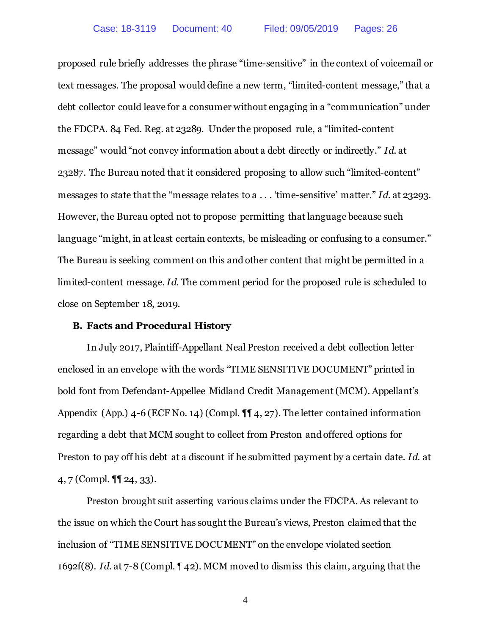proposed rule briefly addresses the phrase "time-sensitive" in the context of voicemail or text messages. The proposal would define a new term, "limited-content message," that a debt collector could leave for a consumer without engaging in a "communication" under the FDCPA. 84 Fed. Reg. at 23289. Under the proposed rule, a "limited-content message" would "not convey information about a debt directly or indirectly." *Id*. at 23287. The Bureau noted that it considered proposing to allow such "limited-content" messages to state that the "message relates to a . . . 'time-sensitive' matter." *Id*. at 23293. However, the Bureau opted not to propose permitting that language because such language "might, in at least certain contexts, be misleading or confusing to a consumer." The Bureau is seeking comment on this and other content that might be permitted in a limited-content message. *Id*. The comment period for the proposed rule is scheduled to close on September 18, 2019.

### <span id="page-8-0"></span>**B. Facts and Procedural History**

In July 2017, Plaintiff-Appellant Neal Preston received a debt collection letter enclosed in an envelope with the words "TIME SENSITIVE DOCUMENT" printed in bold font from Defendant-Appellee Midland Credit Management (MCM). Appellant's Appendix (App.) 4-6 (ECF No. 14) (Compl. ¶¶ 4, 27). The letter contained information regarding a debt that MCM sought to collect from Preston and offered options for Preston to pay off his debt at a discount if he submitted payment by a certain date. *Id*. at 4, 7 (Compl. ¶¶ 24, 33).

Preston brought suit asserting various claims under the FDCPA. As relevant to the issue on which the Court has sought the Bureau's views, Preston claimed that the inclusion of "TIME SENSITIVE DOCUMENT" on the envelope violated section 1692f(8). *Id*. at 7-8 (Compl. ¶ 42). MCM moved to dismiss this claim, arguing that the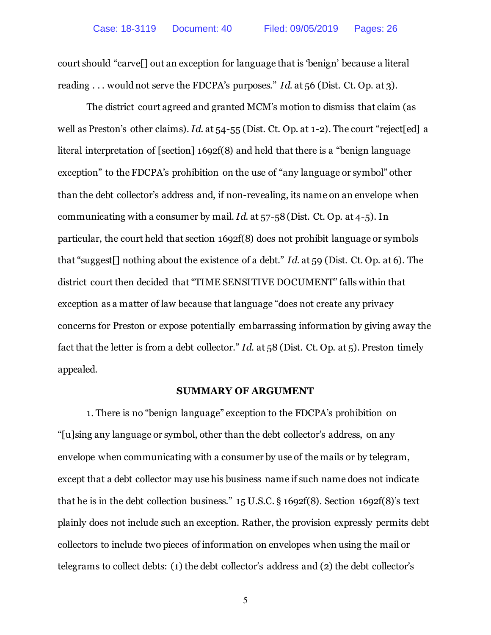court should "carve[] out an exception for language that is 'benign' because a literal reading . . . would not serve the FDCPA's purposes." *Id.* at 56 (Dist. Ct. Op. at 3).

The district court agreed and granted MCM's motion to dismiss that claim (as well as Preston's other claims). *Id*. at 54-55 (Dist. Ct. Op. at 1-2). The court "reject[ed] a literal interpretation of [section] 1692f(8) and held that there is a "benign language exception" to the FDCPA's prohibition on the use of "any language or symbol" other than the debt collector's address and, if non-revealing, its name on an envelope when communicating with a consumer by mail. *Id*. at 57-58 (Dist. Ct. Op. at 4-5). In particular, the court held that section 1692f(8) does not prohibit language or symbols that "suggest[] nothing about the existence of a debt." *Id*. at 59 (Dist. Ct. Op. at 6). The district court then decided that "TIME SENSITIVE DOCUMENT" falls within that exception as a matter of law because that language "does not create any privacy concerns for Preston or expose potentially embarrassing information by giving away the fact that the letter is from a debt collector." *Id*. at 58 (Dist. Ct. Op. at 5). Preston timely appealed.

#### **SUMMARY OF ARGUMENT**

<span id="page-9-0"></span>1. There is no "benign language" exception to the FDCPA's prohibition on "[u]sing any language or symbol, other than the debt collector's address, on any envelope when communicating with a consumer by use of the mails or by telegram, except that a debt collector may use his business name if such name does not indicate that he is in the debt collection business." 15 U.S.C. § 1692f(8). Section 1692f(8)'s text plainly does not include such an exception. Rather, the provision expressly permits debt collectors to include two pieces of information on envelopes when using the mail or telegrams to collect debts: (1) the debt collector's address and (2) the debt collector's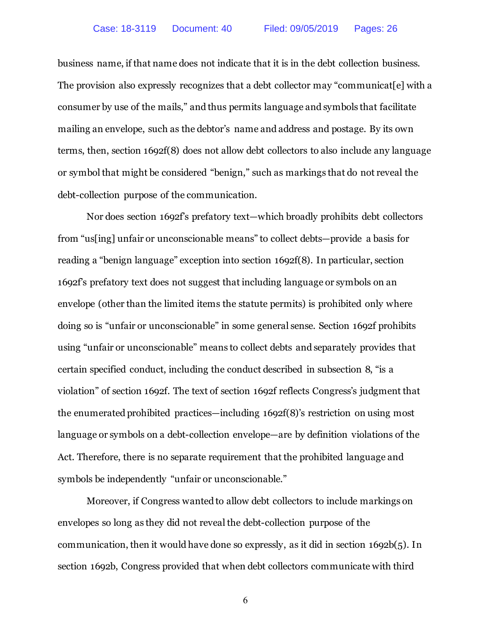business name, if that name does not indicate that it is in the debt collection business. The provision also expressly recognizes that a debt collector may "communicat[e] with a consumer by use of the mails," and thus permits language and symbols that facilitate mailing an envelope, such as the debtor's name and address and postage. By its own terms, then, section 1692f(8) does not allow debt collectors to also include any language or symbol that might be considered "benign," such as markings that do not reveal the debt-collection purpose of the communication.

Nor does section 1692f's prefatory text—which broadly prohibits debt collectors from "us[ing] unfair or unconscionable means" to collect debts—provide a basis for reading a "benign language" exception into section 1692f(8). In particular, section 1692f's prefatory text does not suggest that including language or symbols on an envelope (other than the limited items the statute permits) is prohibited only where doing so is "unfair or unconscionable" in some general sense. Section 1692f prohibits using "unfair or unconscionable" means to collect debts and separately provides that certain specified conduct, including the conduct described in subsection 8, "is a violation" of section 1692f. The text of section 1692f reflects Congress's judgment that the enumerated prohibited practices—including 1692f(8)'s restriction on using most language or symbols on a debt-collection envelope—are by definition violations of the Act. Therefore, there is no separate requirement that the prohibited language and symbols be independently "unfair or unconscionable."

Moreover, if Congress wanted to allow debt collectors to include markings on envelopes so long as they did not reveal the debt-collection purpose of the communication, then it would have done so expressly, as it did in section 1692b(5). In section 1692b, Congress provided that when debt collectors communicate with third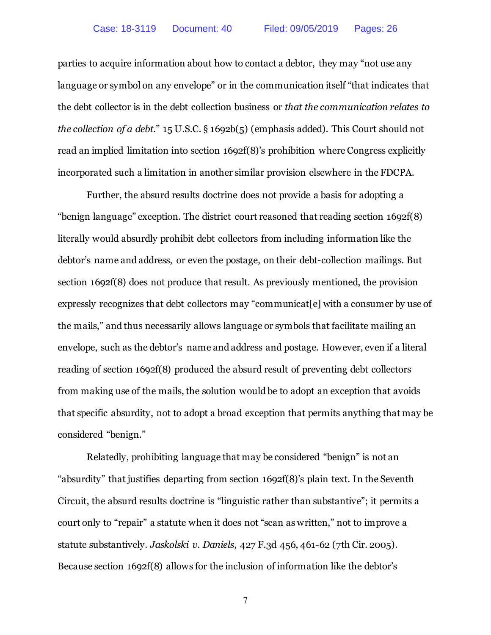parties to acquire information about how to contact a debtor, they may "not use any language or symbol on any envelope" or in the communication itself "that indicates that the debt collector is in the debt collection business or *that the communication relates to the collection of a debt*." 15 U.S.C. § 1692b(5) (emphasis added). This Court should not read an implied limitation into section 1692f(8)'s prohibition where Congress explicitly incorporated such a limitation in another similar provision elsewhere in the FDCPA.

Further, the absurd results doctrine does not provide a basis for adopting a "benign language" exception. The district court reasoned that reading section 1692f(8) literally would absurdly prohibit debt collectors from including information like the debtor's name and address, or even the postage, on their debt-collection mailings. But section 1692f(8) does not produce that result. As previously mentioned, the provision expressly recognizes that debt collectors may "communicat[e] with a consumer by use of the mails," and thus necessarily allows language or symbols that facilitate mailing an envelope, such as the debtor's name and address and postage. However, even if a literal reading of section 1692f(8) produced the absurd result of preventing debt collectors from making use of the mails, the solution would be to adopt an exception that avoids that specific absurdity, not to adopt a broad exception that permits anything that may be considered "benign."

Relatedly, prohibiting language that may be considered "benign" is not an "absurdity" that justifies departing from section 1692f(8)'s plain text. In the Seventh Circuit, the absurd results doctrine is "linguistic rather than substantive"; it permits a court only to "repair" a statute when it does not "scan as written," not to improve a statute substantively. *Jaskolski v. Daniels*, 427 F.3d 456, 461-62 (7th Cir. 2005). Because section 1692f(8) allows for the inclusion of information like the debtor's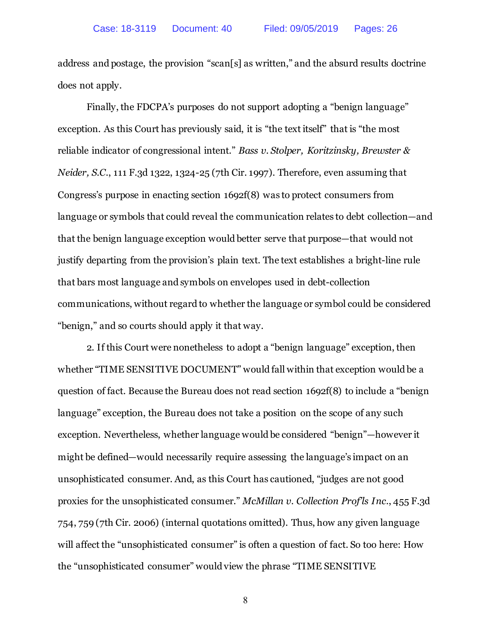address and postage, the provision "scan[s] as written," and the absurd results doctrine does not apply.

Finally, the FDCPA's purposes do not support adopting a "benign language" exception. As this Court has previously said, it is "the text itself" that is "the most reliable indicator of congressional intent." *Bass v. Stolper, Koritzinsky, Brewster & Neider, S.C.*, 111 F.3d 1322, 1324-25 (7th Cir. 1997). Therefore, even assuming that Congress's purpose in enacting section 1692f(8) was to protect consumers from language or symbols that could reveal the communication relates to debt collection—and that the benign language exception would better serve that purpose—that would not justify departing from the provision's plain text. The text establishes a bright-line rule that bars most language and symbols on envelopes used in debt-collection communications, without regard to whether the language or symbol could be considered "benign," and so courts should apply it that way.

2. If this Court were nonetheless to adopt a "benign language" exception, then whether "TIME SENSITIVE DOCUMENT" would fall within that exception would be a question of fact. Because the Bureau does not read section 1692f(8) to include a "benign language" exception, the Bureau does not take a position on the scope of any such exception. Nevertheless, whether language would be considered "benign"—however it might be defined—would necessarily require assessing the language's impact on an unsophisticated consumer. And, as this Court has cautioned, "judges are not good proxies for the unsophisticated consumer." *McMillan v. Collection Prof'ls Inc.*, 455 F.3d 754, 759 (7th Cir. 2006) (internal quotations omitted). Thus, how any given language will affect the "unsophisticated consumer" is often a question of fact. So too here: How the "unsophisticated consumer" would view the phrase "TIME SENSITIVE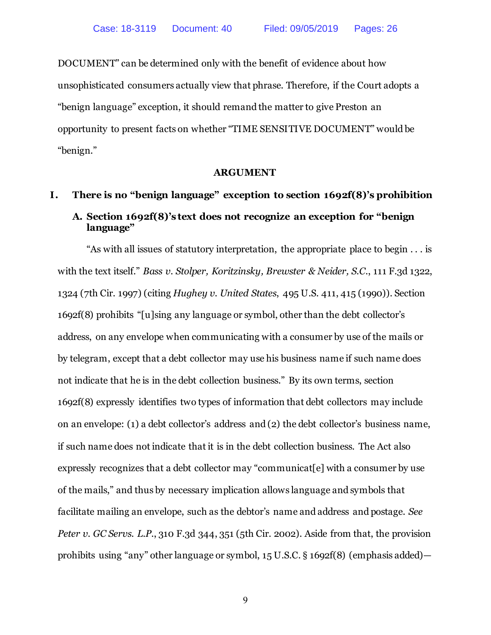DOCUMENT" can be determined only with the benefit of evidence about how unsophisticated consumers actually view that phrase. Therefore, if the Court adopts a "benign language" exception, it should remand the matter to give Preston an opportunity to present facts on whether "TIME SENSITIVE DOCUMENT" would be "benign."

### **ARGUMENT**

# <span id="page-13-2"></span><span id="page-13-1"></span><span id="page-13-0"></span>**I. There is no "benign language" exception to section 1692f(8)'s prohibition A. Section 1692f(8)'s text does not recognize an exception for "benign language"**

"As with all issues of statutory interpretation, the appropriate place to begin . . . is with the text itself." *Bass v. Stolper, Koritzinsky, Brewster & Neider, S.C.*, 111 F.3d 1322, 1324 (7th Cir. 1997) (citing *Hughey v. United States*, 495 U.S. 411, 415 (1990)). Section 1692f(8) prohibits "[u]sing any language or symbol, other than the debt collector's address, on any envelope when communicating with a consumer by use of the mails or by telegram, except that a debt collector may use his business name if such name does not indicate that he is in the debt collection business." By its own terms, section 1692f(8) expressly identifies two types of information that debt collectors may include on an envelope: (1) a debt collector's address and (2) the debt collector's business name, if such name does not indicate that it is in the debt collection business. The Act also expressly recognizes that a debt collector may "communicat<sup>[e]</sup> with a consumer by use of the mails," and thus by necessary implication allows language and symbols that facilitate mailing an envelope, such as the debtor's name and address and postage. *See Peter v. GC Servs. L.P.*, 310 F.3d 344, 351 (5th Cir. 2002). Aside from that, the provision prohibits using "any" other language or symbol, 15 U.S.C. § 1692f(8) (emphasis added)—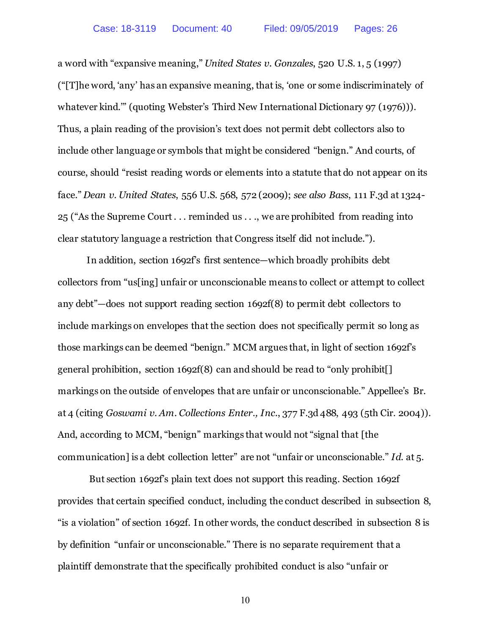a word with "expansive meaning," *United States v. Gonzales*, 520 U.S. 1, 5 (1997) ("[T]he word, 'any' has an expansive meaning, that is, 'one or some indiscriminately of whatever kind.'" (quoting Webster's Third New International Dictionary 97 (1976))). Thus, a plain reading of the provision's text does not permit debt collectors also to include other language or symbols that might be considered "benign." And courts, of course, should "resist reading words or elements into a statute that do not appear on its face." *Dean v. United States*, 556 U.S. 568, 572 (2009); *see also Bass*, 111 F.3d at 1324- 25 ("As the Supreme Court . . . reminded us . . ., we are prohibited from reading into clear statutory language a restriction that Congress itself did not include.").

In addition, section 1692f's first sentence—which broadly prohibits debt collectors from "us[ing] unfair or unconscionable means to collect or attempt to collect any debt"—does not support reading section 1692f(8) to permit debt collectors to include markings on envelopes that the section does not specifically permit so long as those markings can be deemed "benign." MCM argues that, in light of section 1692f's general prohibition, section 1692f(8) can and should be read to "only prohibit[] markings on the outside of envelopes that are unfair or unconscionable." Appellee's Br. at 4 (citing *Goswami v. Am. Collections Enter., Inc.*, 377 F.3d 488, 493 (5th Cir. 2004)). And, according to MCM, "benign" markings that would not "signal that [the communication] is a debt collection letter" are not "unfair or unconscionable." *Id*. at 5.

But section 1692f's plain text does not support this reading. Section 1692f provides that certain specified conduct, including the conduct described in subsection 8, "is a violation" of section 1692f. In other words, the conduct described in subsection 8 is by definition "unfair or unconscionable." There is no separate requirement that a plaintiff demonstrate that the specifically prohibited conduct is also "unfair or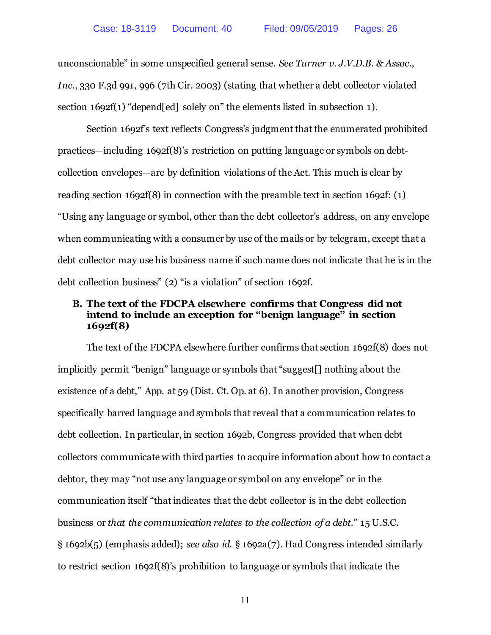unconscionable" in some unspecified general sense. *See Turner v. J.V.D.B. & Assoc., Inc.*, 330 F.3d 991, 996 (7th Cir. 2003) (stating that whether a debt collector violated section 1692f(1) "depend[ed] solely on" the elements listed in subsection 1).

Section 1692f's text reflects Congress's judgment that the enumerated prohibited practices—including 1692f(8)'s restriction on putting language or symbols on debtcollection envelopes—are by definition violations of the Act. This much is clear by reading section 1692f(8) in connection with the preamble text in section 1692f: (1) "Using any language or symbol, other than the debt collector's address, on any envelope when communicating with a consumer by use of the mails or by telegram, except that a debt collector may use his business name if such name does not indicate that he is in the debt collection business" (2) "is a violation" of section 1692f.

## <span id="page-15-0"></span>**B. The text of the FDCPA elsewhere confirms that Congress did not intend to include an exception for "benign language" in section 1692f(8)**

The text of the FDCPA elsewhere further confirms that section 1692f(8) does not implicitly permit "benign" language or symbols that "suggest[] nothing about the existence of a debt," App. at 59 (Dist. Ct. Op. at 6). In another provision, Congress specifically barred language and symbols that reveal that a communication relates to debt collection. In particular, in section 1692b, Congress provided that when debt collectors communicate with third parties to acquire information about how to contact a debtor, they may "not use any language or symbol on any envelope" or in the communication itself "that indicates that the debt collector is in the debt collection business or *that the communication relates to the collection of a debt*." 15 U.S.C. § 1692b(5) (emphasis added); *see also id.* § 1692a(7). Had Congress intended similarly to restrict section 1692f(8)'s prohibition to language or symbols that indicate the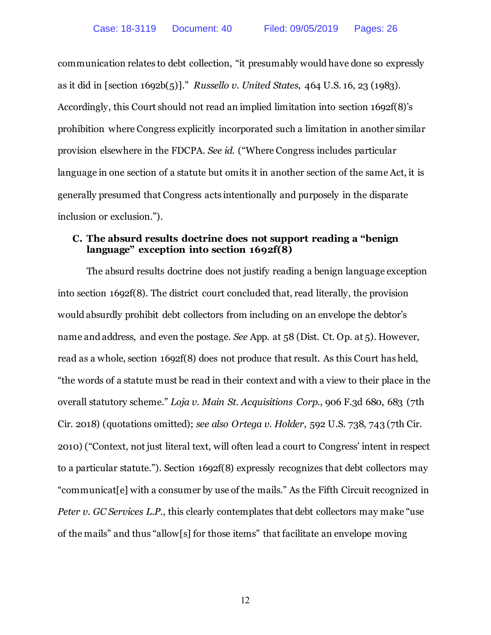communication relates to debt collection, "it presumably would have done so expressly as it did in [section 1692b(5)]." *Russello v. United States*, 464 U.S. 16, 23 (1983). Accordingly, this Court should not read an implied limitation into section 1692f(8)'s prohibition where Congress explicitly incorporated such a limitation in another similar provision elsewhere in the FDCPA. *See id*. ("Where Congress includes particular language in one section of a statute but omits it in another section of the same Act, it is generally presumed that Congress acts intentionally and purposely in the disparate inclusion or exclusion.").

## <span id="page-16-0"></span>**C. The absurd results doctrine does not support reading a "benign language" exception into section 1692f(8)**

The absurd results doctrine does not justify reading a benign language exception into section 1692f(8). The district court concluded that, read literally, the provision would absurdly prohibit debt collectors from including on an envelope the debtor's name and address, and even the postage. *See* App. at 58 (Dist. Ct. Op. at 5). However, read as a whole, section 1692f(8) does not produce that result. As this Court has held, "the words of a statute must be read in their context and with a view to their place in the overall statutory scheme." *Loja v. Main St. Acquisitions Corp.*, 906 F.3d 680, 683 (7th Cir. 2018) (quotations omitted); *see also Ortega v. Holder*, 592 U.S. 738, 743 (7th Cir. 2010) ("Context, not just literal text, will often lead a court to Congress' intent in respect to a particular statute."). Section 1692f(8) expressly recognizes that debt collectors may "communicat[e] with a consumer by use of the mails." As the Fifth Circuit recognized in *Peter v. GC Services L.P.*, this clearly contemplates that debt collectors may make "use of the mails" and thus "allow[s] for those items" that facilitate an envelope moving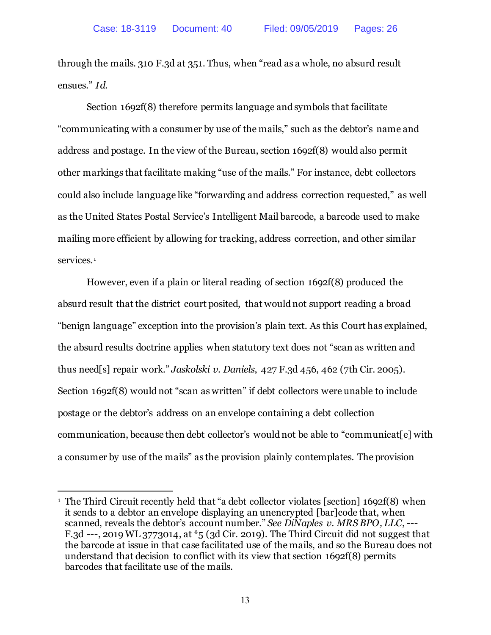through the mails. 310 F.3d at 351. Thus, when "read as a whole, no absurd result ensues." *Id.*

Section 1692f(8) therefore permits language and symbols that facilitate "communicating with a consumer by use of the mails," such as the debtor's name and address and postage. In the view of the Bureau, section 1692f(8) would also permit other markings that facilitate making "use of the mails." For instance, debt collectors could also include language like "forwarding and address correction requested," as well as the United States Postal Service's Intelligent Mail barcode, a barcode used to make mailing more efficient by allowing for tracking, address correction, and other similar services.<sup>[1](#page-17-0)</sup>

However, even if a plain or literal reading of section 1692f(8) produced the absurd result that the district court posited, that would not support reading a broad "benign language" exception into the provision's plain text. As this Court has explained, the absurd results doctrine applies when statutory text does not "scan as written and thus need[s] repair work." *Jaskolski v. Daniels*, 427 F.3d 456, 462 (7th Cir. 2005). Section 1692f(8) would not "scan as written" if debt collectors were unable to include postage or the debtor's address on an envelope containing a debt collection communication, because then debt collector's would not be able to "communicat[e] with a consumer by use of the mails" as the provision plainly contemplates. The provision

l

<span id="page-17-0"></span><sup>&</sup>lt;sup>1</sup> The Third Circuit recently held that "a debt collector violates [section] 1692f(8) when it sends to a debtor an envelope displaying an unencrypted [bar]code that, when scanned, reveals the debtor's account number." *See DiNaples v. MRS BPO, LLC*, --- F.3d ---, 2019 WL 3773014, at \*5 (3d Cir. 2019). The Third Circuit did not suggest that the barcode at issue in that case facilitated use of the mails, and so the Bureau does not understand that decision to conflict with its view that section 1692f(8) permits barcodes that facilitate use of the mails.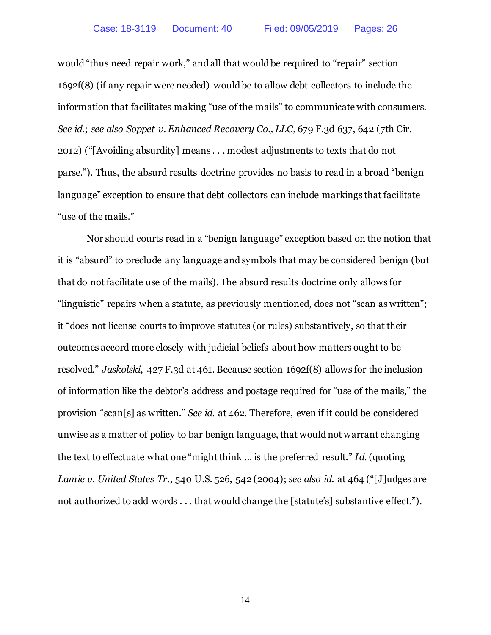would "thus need repair work," and all that would be required to "repair" section 1692f(8) (if any repair were needed) would be to allow debt collectors to include the information that facilitates making "use of the mails" to communicate with consumers. *See id*.; *see also Soppet v. Enhanced Recovery Co., LLC*, 679 F.3d 637, 642 (7th Cir. 2012) ("[Avoiding absurdity] means . . . modest adjustments to texts that do not parse."). Thus, the absurd results doctrine provides no basis to read in a broad "benign language" exception to ensure that debt collectors can include markings that facilitate "use of the mails."

Nor should courts read in a "benign language" exception based on the notion that it is "absurd" to preclude any language and symbols that may be considered benign (but that do not facilitate use of the mails). The absurd results doctrine only allows for "linguistic" repairs when a statute, as previously mentioned, does not "scan as written"; it "does not license courts to improve statutes (or rules) substantively, so that their outcomes accord more closely with judicial beliefs about how matters ought to be resolved." *Jaskolski*, 427 F.3d at 461. Because section 1692f(8) allows for the inclusion of information like the debtor's address and postage required for "use of the mails," the provision "scan[s] as written." *See id.* at 462. Therefore, even if it could be considered unwise as a matter of policy to bar benign language, that would not warrant changing the text to effectuate what one "might think … is the preferred result." *Id.* (quoting *Lamie v. United States Tr.*, 540 U.S. 526, 542 (2004); *see also id*. at 464 ("[J]udges are not authorized to add words . . . that would change the [statute's] substantive effect.").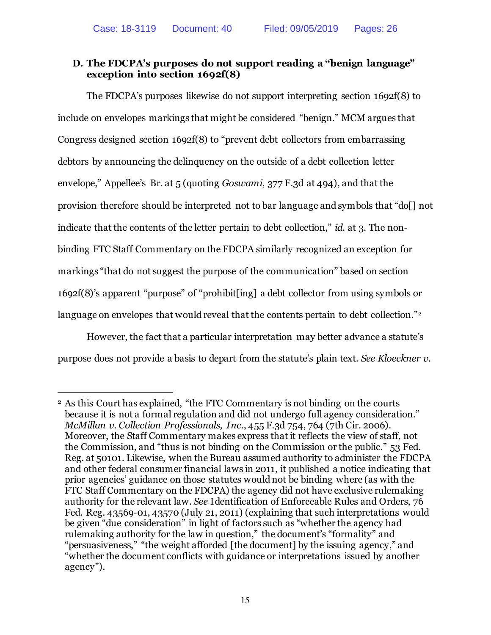## <span id="page-19-0"></span>**D. The FDCPA's purposes do not support reading a "benign language" exception into section 1692f(8)**

The FDCPA's purposes likewise do not support interpreting section 1692f(8) to include on envelopes markings that might be considered "benign." MCM argues that Congress designed section 1692f(8) to "prevent debt collectors from embarrassing debtors by announcing the delinquency on the outside of a debt collection letter envelope," Appellee's Br. at 5 (quoting *Goswami*, 377 F.3d at 494), and that the provision therefore should be interpreted not to bar language and symbols that "do[] not indicate that the contents of the letter pertain to debt collection," *id*. at 3. The nonbinding FTC Staff Commentary on the FDCPA similarly recognized an exception for markings "that do not suggest the purpose of the communication" based on section 1692f(8)'s apparent "purpose" of "prohibit[ing] a debt collector from using symbols or language on envelopes that would reveal that the contents pertain to debt collection."<sup>[2](#page-19-1)</sup>

However, the fact that a particular interpretation may better advance a statute's purpose does not provide a basis to depart from the statute's plain text. *See Kloeckner v.* 

 $\overline{a}$ 

<span id="page-19-1"></span><sup>2</sup> As this Court has explained, "the FTC Commentary is not binding on the courts because it is not a formal regulation and did not undergo full agency consideration." *McMillan v. Collection Professionals, Inc.*, 455 F.3d 754, 764 (7th Cir. 2006). Moreover, the Staff Commentary makes express that it reflects the view of staff, not the Commission, and "thus is not binding on the Commission or the public." 53 Fed. Reg. at 50101. Likewise, when the Bureau assumed authority to administer the FDCPA and other federal consumer financial laws in 2011, it published a notice indicating that prior agencies' guidance on those statutes would not be binding where (as with the FTC Staff Commentary on the FDCPA) the agency did not have exclusive rulemaking authority for the relevant law. *See* Identification of Enforceable Rules and Orders, 76 Fed. Reg. 43569-01, 43570 (July 21, 2011) (explaining that such interpretations would be given "due consideration" in light of factors such as "whether the agency had rulemaking authority for the law in question," the document's "formality" and "persuasiveness," "the weight afforded [the document] by the issuing agency," and "whether the document conflicts with guidance or interpretations issued by another agency").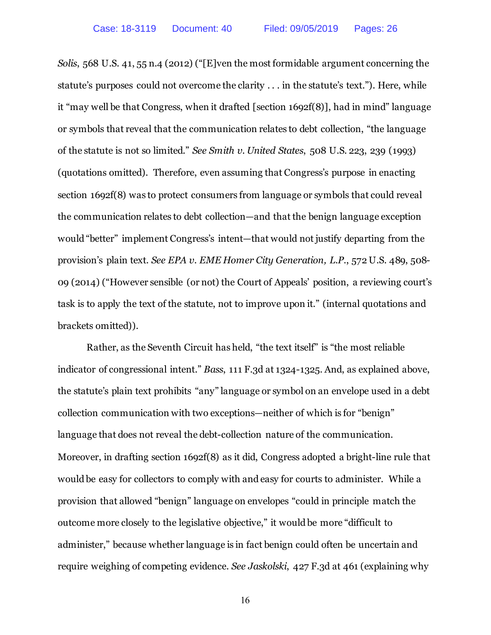*Solis*, 568 U.S. 41, 55 n.4 (2012) ("[E]ven the most formidable argument concerning the statute's purposes could not overcome the clarity . . . in the statute's text."). Here, while it "may well be that Congress, when it drafted [section 1692f(8)], had in mind" language or symbols that reveal that the communication relates to debt collection, "the language of the statute is not so limited." *See Smith v. United States*, 508 U.S. 223, 239 (1993) (quotations omitted). Therefore, even assuming that Congress's purpose in enacting section 1692f(8) was to protect consumers from language or symbols that could reveal the communication relates to debt collection—and that the benign language exception would "better" implement Congress's intent—that would not justify departing from the provision's plain text. *See EPA v. EME Homer City Generation, L.P.*, 572 U.S. 489, 508- 09 (2014) ("However sensible (or not) the Court of Appeals' position, a reviewing court's task is to apply the text of the statute, not to improve upon it." (internal quotations and brackets omitted)).

Rather, as the Seventh Circuit has held, "the text itself" is "the most reliable indicator of congressional intent." *Bass*, 111 F.3d at 1324-1325. And, as explained above, the statute's plain text prohibits "any" language or symbol on an envelope used in a debt collection communication with two exceptions—neither of which is for "benign" language that does not reveal the debt-collection nature of the communication. Moreover, in drafting section 1692f(8) as it did, Congress adopted a bright-line rule that would be easy for collectors to comply with and easy for courts to administer. While a provision that allowed "benign" language on envelopes "could in principle match the outcome more closely to the legislative objective," it would be more "difficult to administer," because whether language is in fact benign could often be uncertain and require weighing of competing evidence. *See Jaskolski*, 427 F.3d at 461 (explaining why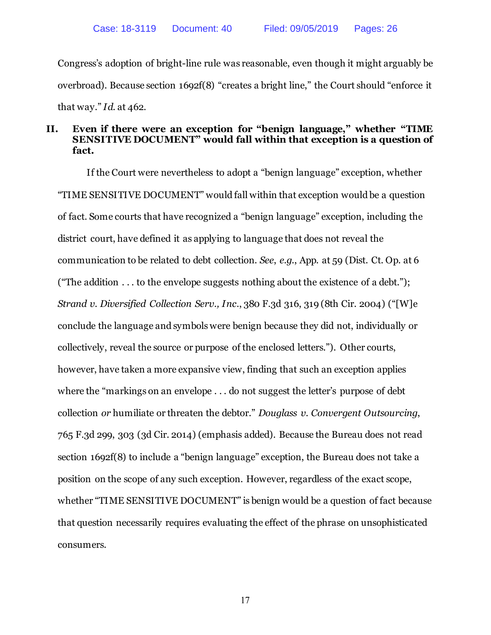Congress's adoption of bright-line rule was reasonable, even though it might arguably be overbroad). Because section 1692f(8) "creates a bright line," the Court should "enforce it that way." *Id*. at 462.

## <span id="page-21-0"></span>**II. Even if there were an exception for "benign language," whether "TIME SENSITIVE DOCUMENT" would fall within that exception is a question of fact.**

If the Court were nevertheless to adopt a "benign language" exception, whether "TIME SENSITIVE DOCUMENT" would fall within that exception would be a question of fact. Some courts that have recognized a "benign language" exception, including the district court, have defined it as applying to language that does not reveal the communication to be related to debt collection. *See*, *e.g.*, App. at 59 (Dist. Ct. Op. at 6 ("The addition  $\dots$  to the envelope suggests nothing about the existence of a debt."); *Strand v. Diversified Collection Serv., Inc.*, 380 F.3d 316, 319 (8th Cir. 2004) ("[W]e conclude the language and symbols were benign because they did not, individually or collectively, reveal the source or purpose of the enclosed letters."). Other courts, however, have taken a more expansive view, finding that such an exception applies where the "markings on an envelope . . . do not suggest the letter's purpose of debt collection *or* humiliate or threaten the debtor." *Douglass v. Convergent Outsourcing*, 765 F.3d 299, 303 (3d Cir. 2014) (emphasis added). Because the Bureau does not read section 1692f(8) to include a "benign language" exception, the Bureau does not take a position on the scope of any such exception. However, regardless of the exact scope, whether "TIME SENSITIVE DOCUMENT" is benign would be a question of fact because that question necessarily requires evaluating the effect of the phrase on unsophisticated consumers.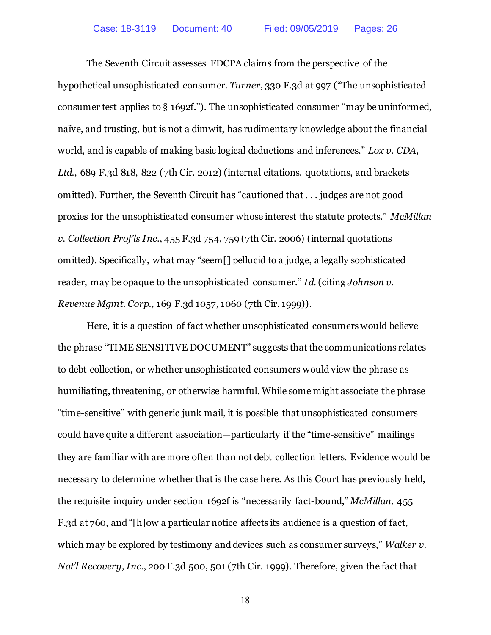The Seventh Circuit assesses FDCPA claims from the perspective of the hypothetical unsophisticated consumer. *Turner*, 330 F.3d at 997 ("The unsophisticated consumer test applies to § 1692f."). The unsophisticated consumer "may be uninformed, naïve, and trusting, but is not a dimwit, has rudimentary knowledge about the financial world, and is capable of making basic logical deductions and inferences." *Lox v. CDA, Ltd.*, 689 F.3d 818, 822 (7th Cir. 2012) (internal citations, quotations, and brackets omitted). Further, the Seventh Circuit has "cautioned that . . . judges are not good proxies for the unsophisticated consumer whose interest the statute protects." *McMillan v. Collection Prof'ls Inc.*, 455 F.3d 754, 759 (7th Cir. 2006) (internal quotations omitted). Specifically, what may "seem[] pellucid to a judge, a legally sophisticated reader, may be opaque to the unsophisticated consumer." *Id*. (citing *Johnson v. Revenue Mgmt. Corp.*, 169 F.3d 1057, 1060 (7th Cir. 1999)).

Here, it is a question of fact whether unsophisticated consumers would believe the phrase "TIME SENSITIVE DOCUMENT" suggests that the communications relates to debt collection, or whether unsophisticated consumers would view the phrase as humiliating, threatening, or otherwise harmful. While some might associate the phrase "time-sensitive" with generic junk mail, it is possible that unsophisticated consumers could have quite a different association—particularly if the "time-sensitive" mailings they are familiar with are more often than not debt collection letters. Evidence would be necessary to determine whether that is the case here. As this Court has previously held, the requisite inquiry under section 1692f is "necessarily fact-bound," *McMillan*, 455 F.3d at 760, and "[h]ow a particular notice affects its audience is a question of fact, which may be explored by testimony and devices such as consumer surveys," *Walker v. Nat'l Recovery, Inc.*, 200 F.3d 500, 501 (7th Cir. 1999). Therefore, given the fact that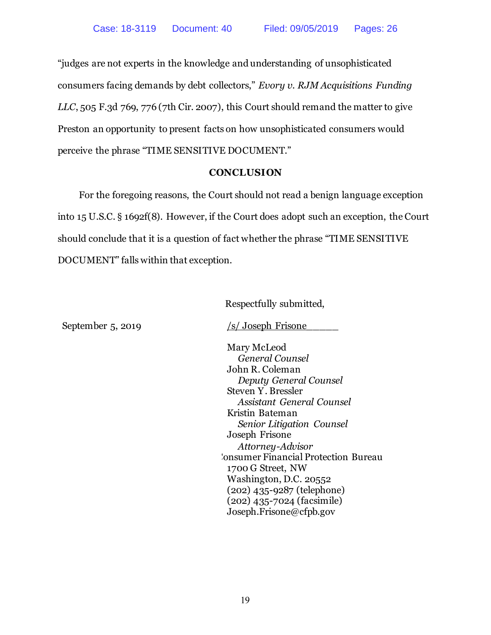"judges are not experts in the knowledge and understanding of unsophisticated consumers facing demands by debt collectors," *Evory v. RJM Acquisitions Funding LLC*, 505 F.3d 769, 776 (7th Cir. 2007), this Court should remand the matter to give Preston an opportunity to present facts on how unsophisticated consumers would perceive the phrase "TIME SENSITIVE DOCUMENT."

## **CONCLUSION**

<span id="page-23-0"></span>For the foregoing reasons, the Court should not read a benign language exception into 15 U.S.C. § 1692f(8). However, if the Court does adopt such an exception, the Court should conclude that it is a question of fact whether the phrase "TIME SENSITIVE DOCUMENT" falls within that exception.

Respectfully submitted,

September 5, 2019 /s/ Joseph Frisone

Mary McLeod *General Counsel* John R. Coleman *Deputy General Counsel* Steven Y. Bressler *Assistant General Counsel* Kristin Bateman *Senior Litigation Counsel* Joseph Frisone *Attorney-Advisor*  **Consumer Financial Protection Bureau** 1700 G Street, NW Washington, D.C. 20552 (202) 435-9287 (telephone) (202) 435-7024 (facsimile) Joseph.Frisone@cfpb.gov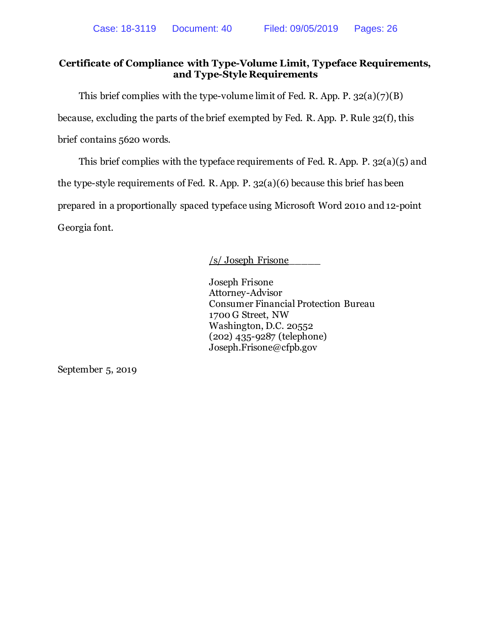## **Certificate of Compliance with Type-Volume Limit, Typeface Requirements, and Type-Style Requirements**

This brief complies with the type-volume limit of Fed. R. App. P.  $32(a)(7)(B)$ because, excluding the parts of the brief exempted by Fed. R. App. P. Rule 32(f), this brief contains 5620 words.

This brief complies with the typeface requirements of Fed. R. App. P. 32(a)(5) and the type-style requirements of Fed. R. App. P. 32(a)(6) because this brief has been prepared in a proportionally spaced typeface using Microsoft Word 2010 and 12-point Georgia font.

## /s/ Joseph Frisone\_\_\_\_\_

Joseph Frisone Attorney-Advisor Consumer Financial Protection Bureau 1700 G Street, NW Washington, D.C. 20552 (202) 435-9287 (telephone) Joseph.Frisone@cfpb.gov

September 5, 2019